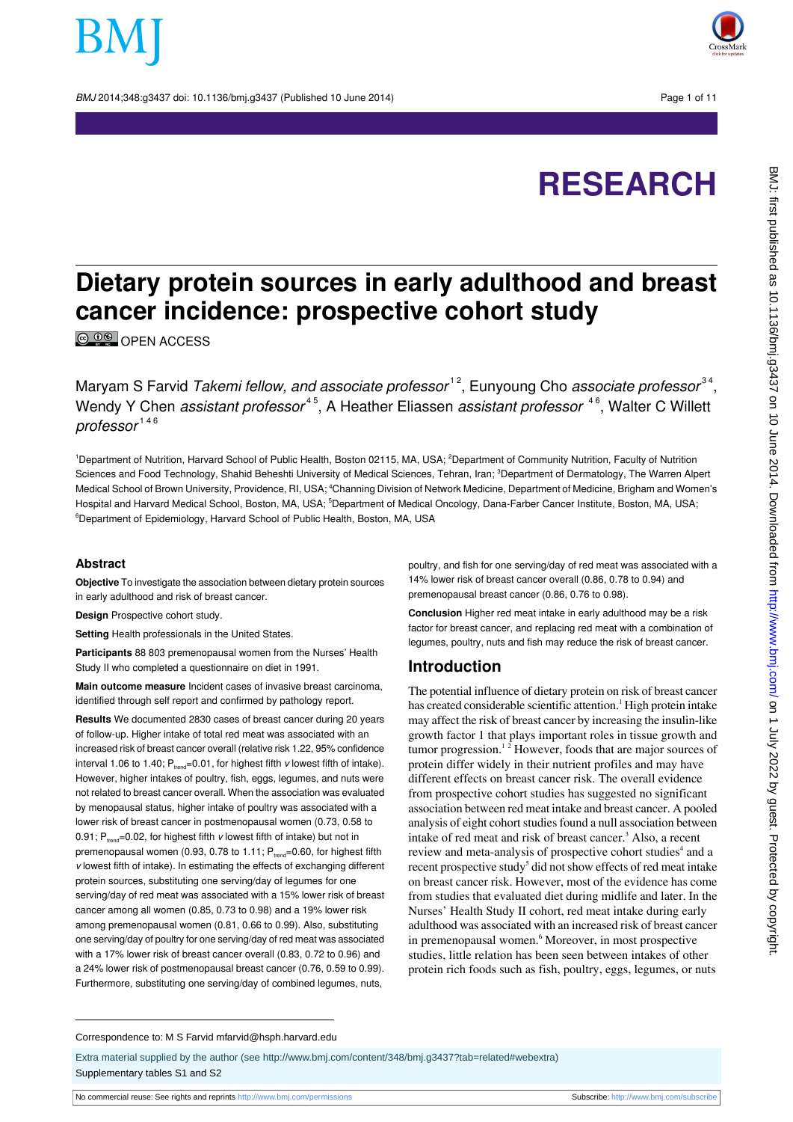BMJ 2014:348:g3437 doi: 10.1136/bmi.g3437 (Published 10 June 2014) Page 1 of 11



# **RESEARCH**

# **Dietary protein sources in early adulthood and breast cancer incidence: prospective cohort study**

**C**  $\overline{O}$  **[OPEN ACCESS](http://creativecommons.org/licenses/by-nc/3.0/)** 

Maryam S Farvid *Takemi fellow, and associate professor*  $12$ , Eunyoung Cho *associate professor*  $34$ , Wendy Y Chen assistant professor<sup>45</sup>, A Heather Eliassen assistant professor<sup>46</sup>, Walter C Willett professor $146$ 

<sup>1</sup>Department of Nutrition, Harvard School of Public Health, Boston 02115, MA, USA; <sup>2</sup>Department of Community Nutrition, Faculty of Nutrition Sciences and Food Technology, Shahid Beheshti University of Medical Sciences, Tehran, Iran; <sup>3</sup>Department of Dermatology, The Warren Alpert Medical School of Brown University, Providence, RI, USA; <sup>4</sup>Channing Division of Network Medicine, Department of Medicine, Brigham and Women's Hospital and Harvard Medical School, Boston, MA, USA; <sup>5</sup>Department of Medical Oncology, Dana-Farber Cancer Institute, Boston, MA, USA; <sup>6</sup>Department of Epidemiology, Harvard School of Public Health, Boston, MA, USA

#### **Abstract**

**Objective** To investigate the association between dietary protein sources in early adulthood and risk of breast cancer.

**Design** Prospective cohort study.

**Setting** Health professionals in the United States.

**Participants** 88 803 premenopausal women from the Nurses' Health Study II who completed a questionnaire on diet in 1991.

**Main outcome measure** Incident cases of invasive breast carcinoma, identified through self report and confirmed by pathology report.

**Results** We documented 2830 cases of breast cancer during 20 years of follow-up. Higher intake of total red meat was associated with an increased risk of breast cancer overall (relative risk 1.22, 95% confidence interval 1.06 to 1.40;  $P_{trend}$ =0.01, for highest fifth v lowest fifth of intake). However, higher intakes of poultry, fish, eggs, legumes, and nuts were not related to breast cancer overall. When the association was evaluated by menopausal status, higher intake of poultry was associated with a lower risk of breast cancer in postmenopausal women (0.73, 0.58 to 0.91;  $P_{trend}$ =0.02, for highest fifth v lowest fifth of intake) but not in premenopausal women (0.93, 0.78 to 1.11;  $P_{t_{\text{rand}}}=0.60$ , for highest fifth v lowest fifth of intake). In estimating the effects of exchanging different protein sources, substituting one serving/day of legumes for one serving/day of red meat was associated with a 15% lower risk of breast cancer among all women (0.85, 0.73 to 0.98) and a 19% lower risk among premenopausal women (0.81, 0.66 to 0.99). Also, substituting one serving/day of poultry for one serving/day of red meat was associated with a 17% lower risk of breast cancer overall (0.83, 0.72 to 0.96) and a 24% lower risk of postmenopausal breast cancer (0.76, 0.59 to 0.99). Furthermore, substituting one serving/day of combined legumes, nuts,

poultry, and fish for one serving/day of red meat was associated with a 14% lower risk of breast cancer overall (0.86, 0.78 to 0.94) and premenopausal breast cancer (0.86, 0.76 to 0.98).

**Conclusion** Higher red meat intake in early adulthood may be a risk factor for breast cancer, and replacing red meat with a combination of legumes, poultry, nuts and fish may reduce the risk of breast cancer.

### **Introduction**

The potential influence of dietary protein on risk of breast cancer has created considerable scientific attention.<sup>1</sup> High protein intake may affect the risk of breast cancer by increasing the insulin-like growth factor 1 that plays important roles in tissue growth and tumor progression.<sup>12</sup> However, foods that are major sources of protein differ widely in their nutrient profiles and may have different effects on breast cancer risk. The overall evidence from prospective cohort studies has suggested no significant association between red meat intake and breast cancer. A pooled analysis of eight cohort studies found a null association between intake of red meat and risk of breast cancer.<sup>3</sup> Also, a recent review and meta-analysis of prospective cohort studies<sup>4</sup> and a recent prospective study<sup>5</sup> did not show effects of red meat intake on breast cancer risk. However, most of the evidence has come from studies that evaluated diet during midlife and later. In the Nurses' Health Study II cohort, red meat intake during early adulthood was associated with an increased risk of breast cancer in premenopausal women.<sup>6</sup> Moreover, in most prospective studies, little relation has been seen between intakes of other protein rich foods such as fish, poultry, eggs, legumes, or nuts

#### Correspondence to: M S Farvid mfarvid@hsph.harvard.edu

Extra material supplied by the author (see [http://www.bmj.com/content/348/bmj.g3437?tab=related#webextra\)](http://www.bmj.com/content/348/bmj.g3437?tab=related#webextra) Supplementary tables S1 and S2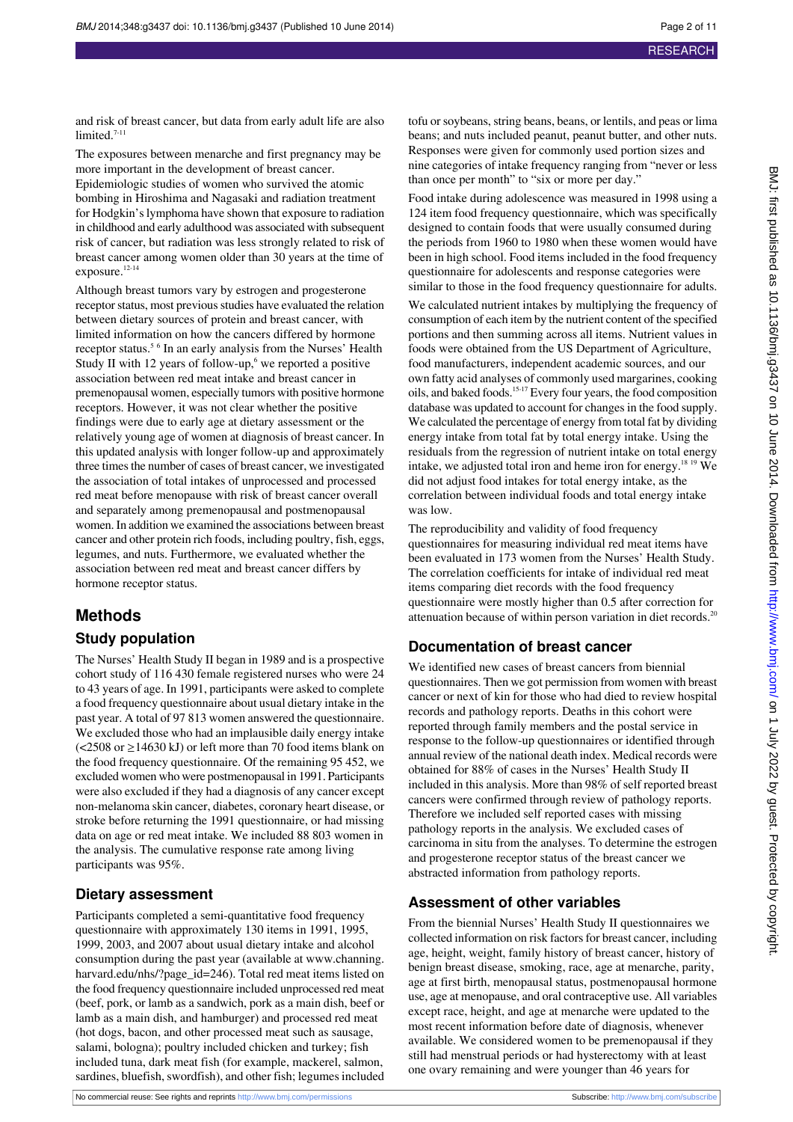and risk of breast cancer, but data from early adult life are also limited.<sup>7-11</sup>

The exposures between menarche and first pregnancy may be more important in the development of breast cancer. Epidemiologic studies of women who survived the atomic bombing in Hiroshima and Nagasaki and radiation treatment for Hodgkin's lymphoma have shown that exposure to radiation in childhood and early adulthood was associated with subsequent risk of cancer, but radiation was less strongly related to risk of breast cancer among women older than 30 years at the time of exposure.<sup>12-14</sup>

Although breast tumors vary by estrogen and progesterone receptor status, most previous studies have evaluated the relation between dietary sources of protein and breast cancer, with limited information on how the cancers differed by hormone receptor status.<sup>5 6</sup> In an early analysis from the Nurses' Health Study II with 12 years of follow-up,<sup>6</sup> we reported a positive association between red meat intake and breast cancer in premenopausal women, especially tumors with positive hormone receptors. However, it was not clear whether the positive findings were due to early age at dietary assessment or the relatively young age of women at diagnosis of breast cancer. In this updated analysis with longer follow-up and approximately three times the number of cases of breast cancer, we investigated the association of total intakes of unprocessed and processed red meat before menopause with risk of breast cancer overall and separately among premenopausal and postmenopausal women. In addition we examined the associations between breast cancer and other protein rich foods, including poultry, fish, eggs, legumes, and nuts. Furthermore, we evaluated whether the association between red meat and breast cancer differs by hormone receptor status.

## **Methods**

## **Study population**

The Nurses' Health Study II began in 1989 and is a prospective cohort study of 116 430 female registered nurses who were 24 to 43 years of age. In 1991, participants were asked to complete a food frequency questionnaire about usual dietary intake in the past year. A total of 97 813 women answered the questionnaire. We excluded those who had an implausible daily energy intake  $\approx$  (<2508 or  $\geq$ 14630 kJ) or left more than 70 food items blank on the food frequency questionnaire. Of the remaining 95 452, we excluded women who were postmenopausal in 1991. Participants were also excluded if they had a diagnosis of any cancer except non-melanoma skin cancer, diabetes, coronary heart disease, or stroke before returning the 1991 questionnaire, or had missing data on age or red meat intake. We included 88 803 women in the analysis. The cumulative response rate among living participants was 95%.

#### **Dietary assessment**

Participants completed a semi-quantitative food frequency questionnaire with approximately 130 items in 1991, 1995, 1999, 2003, and 2007 about usual dietary intake and alcohol consumption during the past year (availableat [www.channing.](http://www.channing.harvard.edu/nhs/?page_id=246) [harvard.edu/nhs/?page\\_id=246\)](http://www.channing.harvard.edu/nhs/?page_id=246). Total red meat items listed on the food frequency questionnaire included unprocessed red meat (beef, pork, or lamb as a sandwich, pork as a main dish, beef or lamb as a main dish, and hamburger) and processed red meat (hot dogs, bacon, and other processed meat such as sausage, salami, bologna); poultry included chicken and turkey; fish included tuna, dark meat fish (for example, mackerel, salmon, sardines, bluefish, swordfish), and other fish; legumes included tofu or soybeans, string beans, beans, or lentils, and peas or lima beans; and nuts included peanut, peanut butter, and other nuts. Responses were given for commonly used portion sizes and nine categories of intake frequency ranging from "never or less than once per month" to "six or more per day."

Food intake during adolescence was measured in 1998 using a 124 item food frequency questionnaire, which was specifically designed to contain foods that were usually consumed during the periods from 1960 to 1980 when these women would have been in high school. Food items included in the food frequency questionnaire for adolescents and response categories were similar to those in the food frequency questionnaire for adults. We calculated nutrient intakes by multiplying the frequency of consumption of each item by the nutrient content of the specified portions and then summing across all items. Nutrient values in foods were obtained from the US Department of Agriculture, food manufacturers, independent academic sources, and our own fatty acid analyses of commonly used margarines, cooking oils, and baked foods.15-17 Every four years, the food composition database was updated to account for changes in the food supply. We calculated the percentage of energy from total fat by dividing energy intake from total fat by total energy intake. Using the residuals from the regression of nutrient intake on total energy intake, we adjusted total iron and heme iron for energy.18 19 We did not adjust food intakes for total energy intake, as the correlation between individual foods and total energy intake was low.

The reproducibility and validity of food frequency questionnaires for measuring individual red meat items have been evaluated in 173 women from the Nurses' Health Study. The correlation coefficients for intake of individual red meat items comparing diet records with the food frequency questionnaire were mostly higher than 0.5 after correction for attenuation because of within person variation in diet records.<sup>20</sup>

## **Documentation of breast cancer**

We identified new cases of breast cancers from biennial questionnaires. Then we got permission from women with breast cancer or next of kin for those who had died to review hospital records and pathology reports. Deaths in this cohort were reported through family members and the postal service in response to the follow-up questionnaires or identified through annual review of the national death index. Medical records were obtained for 88% of cases in the Nurses' Health Study II included in this analysis. More than 98% of self reported breast cancers were confirmed through review of pathology reports. Therefore we included self reported cases with missing pathology reports in the analysis. We excluded cases of carcinoma in situ from the analyses. To determine the estrogen and progesterone receptor status of the breast cancer we abstracted information from pathology reports.

#### **Assessment of other variables**

From the biennial Nurses' Health Study II questionnaires we collected information on risk factors for breast cancer, including age, height, weight, family history of breast cancer, history of benign breast disease, smoking, race, age at menarche, parity, age at first birth, menopausal status, postmenopausal hormone use, age at menopause, and oral contraceptive use. All variables except race, height, and age at menarche were updated to the most recent information before date of diagnosis, whenever available. We considered women to be premenopausal if they still had menstrual periods or had hysterectomy with at least one ovary remaining and were younger than 46 years for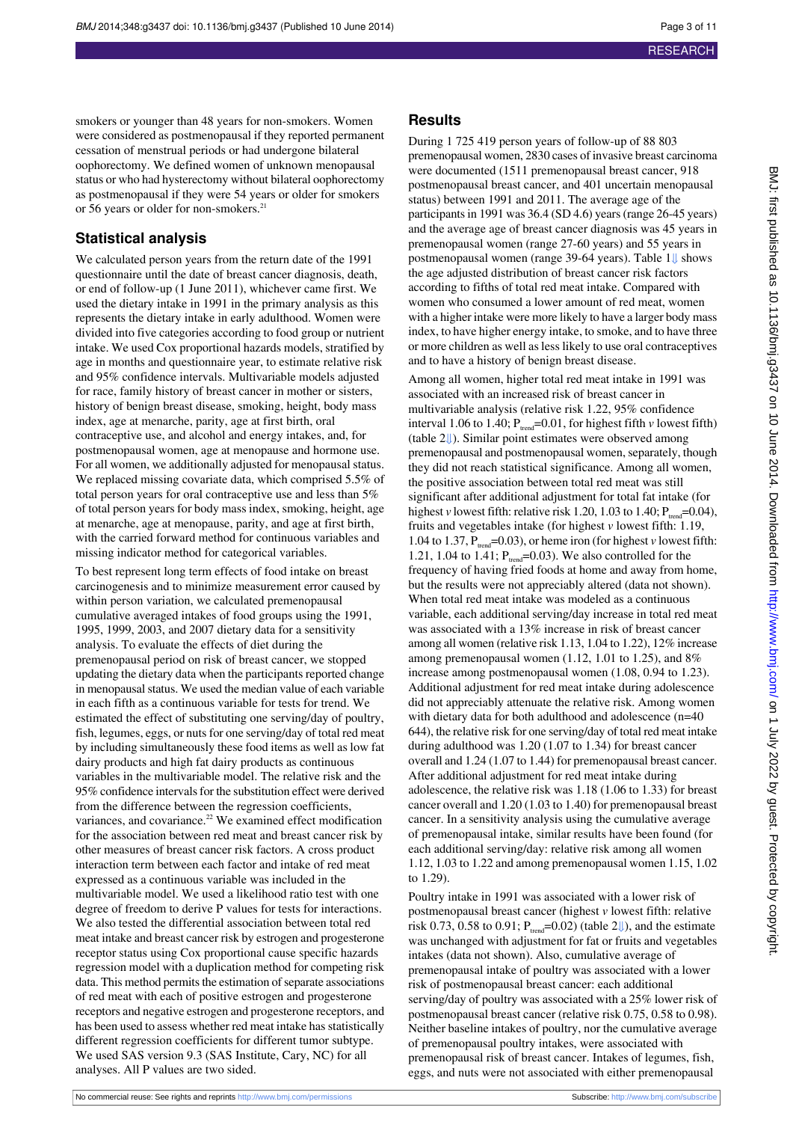smokers or younger than 48 years for non-smokers. Women were considered as postmenopausal if they reported permanent cessation of menstrual periods or had undergone bilateral oophorectomy. We defined women of unknown menopausal status or who had hysterectomy without bilateral oophorectomy as postmenopausal if they were 54 years or older for smokers or 56 years or older for non-smokers.<sup>21</sup>

#### **Statistical analysis**

We calculated person years from the return date of the 1991 questionnaire until the date of breast cancer diagnosis, death, or end of follow-up (1 June 2011), whichever came first. We used the dietary intake in 1991 in the primary analysis as this represents the dietary intake in early adulthood. Women were divided into five categories according to food group or nutrient intake. We used Cox proportional hazards models, stratified by age in months and questionnaire year, to estimate relative risk and 95% confidence intervals. Multivariable models adjusted for race, family history of breast cancer in mother or sisters, history of benign breast disease, smoking, height, body mass index, age at menarche, parity, age at first birth, oral contraceptive use, and alcohol and energy intakes, and, for postmenopausal women, age at menopause and hormone use. For all women, we additionally adjusted for menopausal status. We replaced missing covariate data, which comprised 5.5% of total person years for oral contraceptive use and less than 5% of total person years for body mass index, smoking, height, age at menarche, age at menopause, parity, and age at first birth, with the carried forward method for continuous variables and missing indicator method for categorical variables.

To best represent long term effects of food intake on breast carcinogenesis and to minimize measurement error caused by within person variation, we calculated premenopausal cumulative averaged intakes of food groups using the 1991, 1995, 1999, 2003, and 2007 dietary data for a sensitivity analysis. To evaluate the effects of diet during the premenopausal period on risk of breast cancer, we stopped updating the dietary data when the participants reported change in menopausal status. We used the median value of each variable in each fifth as a continuous variable for tests for trend. We estimated the effect of substituting one serving/day of poultry, fish, legumes, eggs, or nuts for one serving/day of total red meat by including simultaneously these food items as well as low fat dairy products and high fat dairy products as continuous variables in the multivariable model. The relative risk and the 95% confidence intervals for the substitution effect were derived from the difference between the regression coefficients, variances, and covariance.<sup>22</sup> We examined effect modification for the association between red meat and breast cancer risk by other measures of breast cancer risk factors. A cross product interaction term between each factor and intake of red meat expressed as a continuous variable was included in the multivariable model. We used a likelihood ratio test with one degree of freedom to derive P values for tests for interactions. We also tested the differential association between total red meat intake and breast cancer risk by estrogen and progesterone receptor status using Cox proportional cause specific hazards regression model with a duplication method for competing risk data. This method permits the estimation of separate associations of red meat with each of positive estrogen and progesterone receptors and negative estrogen and progesterone receptors, and has been used to assess whether red meat intake has statistically different regression coefficients for different tumor subtype. We used SAS version 9.3 (SAS Institute, Cary, NC) for all analyses. All P values are two sided.

#### **Results**

During 1 725 419 person years of follow-up of 88 803 premenopausal women, 2830 cases of invasive breast carcinoma were documented (1511 premenopausal breast cancer, 918 postmenopausal breast cancer, and 401 uncertain menopausal status) between 1991 and 2011. The average age of the participants in 1991 was 36.4 (SD 4.6) years (range 26-45 years) and the average age of breast cancer diagnosis was 45 years in premenopausal women (range 27-60 years) and 55 years in postmenopausal women (range 39-64 years). Table [1⇓](#page-6-0) shows the age adjusted distribution of breast cancer risk factors according to fifths of total red meat intake. Compared with women who consumed a lower amount of red meat, women with a higher intake were more likely to have a larger body mass index, to have higher energy intake, to smoke, and to have three or more children as well as less likely to use oral contraceptives and to have a history of benign breast disease.

Among all women, higher total red meat intake in 1991 was associated with an increased risk of breast cancer in multivariable analysis (relative risk 1.22, 95% confidence interval 1.06 to 1.40;  $P_{trend}$ =0.01, for highest fifth *v* lowest fifth) (table2[⇓\)](#page-7-0). Similar point estimates were observed among premenopausal and postmenopausal women, separately, though they did not reach statistical significance. Among all women, the positive association between total red meat was still significant after additional adjustment for total fat intake (for highest *v* lowest fifth: relative risk 1.20, 1.03 to 1.40;  $P_{trend} = 0.04$ ), fruits and vegetables intake (for highest *v* lowest fifth: 1.19, 1.04 to 1.37,  $P_{trend} = 0.03$ ), or heme iron (for highest *v* lowest fifth: 1.21, 1.04 to 1.41;  $P_{t_{\text{rend}}}=0.03$ ). We also controlled for the frequency of having fried foods at home and away from home, but the results were not appreciably altered (data not shown). When total red meat intake was modeled as a continuous variable, each additional serving/day increase in total red meat was associated with a 13% increase in risk of breast cancer among all women (relative risk 1.13, 1.04 to 1.22), 12% increase among premenopausal women (1.12, 1.01 to 1.25), and 8% increase among postmenopausal women (1.08, 0.94 to 1.23). Additional adjustment for red meat intake during adolescence did not appreciably attenuate the relative risk. Among women with dietary data for both adulthood and adolescence (n=40) 644), the relative risk for one serving/day of total red meat intake during adulthood was 1.20 (1.07 to 1.34) for breast cancer overall and 1.24 (1.07 to 1.44) for premenopausal breast cancer. After additional adjustment for red meat intake during adolescence, the relative risk was 1.18 (1.06 to 1.33) for breast cancer overall and 1.20 (1.03 to 1.40) for premenopausal breast cancer. In a sensitivity analysis using the cumulative average of premenopausal intake, similar results have been found (for each additional serving/day: relative risk among all women 1.12, 1.03 to 1.22 and among premenopausal women 1.15, 1.02 to 1.29).

Poultry intake in 1991 was associated with a lower risk of postmenopausal breast cancer (highest *v* lowest fifth: relative risk0.73, 0.58 to 0.91;  $P_{\text{trend}}$ =0.02) (table 2 $\downarrow$ ), and the estimate was unchanged with adjustment for fat or fruits and vegetables intakes (data not shown). Also, cumulative average of premenopausal intake of poultry was associated with a lower risk of postmenopausal breast cancer: each additional serving/day of poultry was associated with a 25% lower risk of postmenopausal breast cancer (relative risk 0.75, 0.58 to 0.98). Neither baseline intakes of poultry, nor the cumulative average of premenopausal poultry intakes, were associated with premenopausal risk of breast cancer. Intakes of legumes, fish, eggs, and nuts were not associated with either premenopausal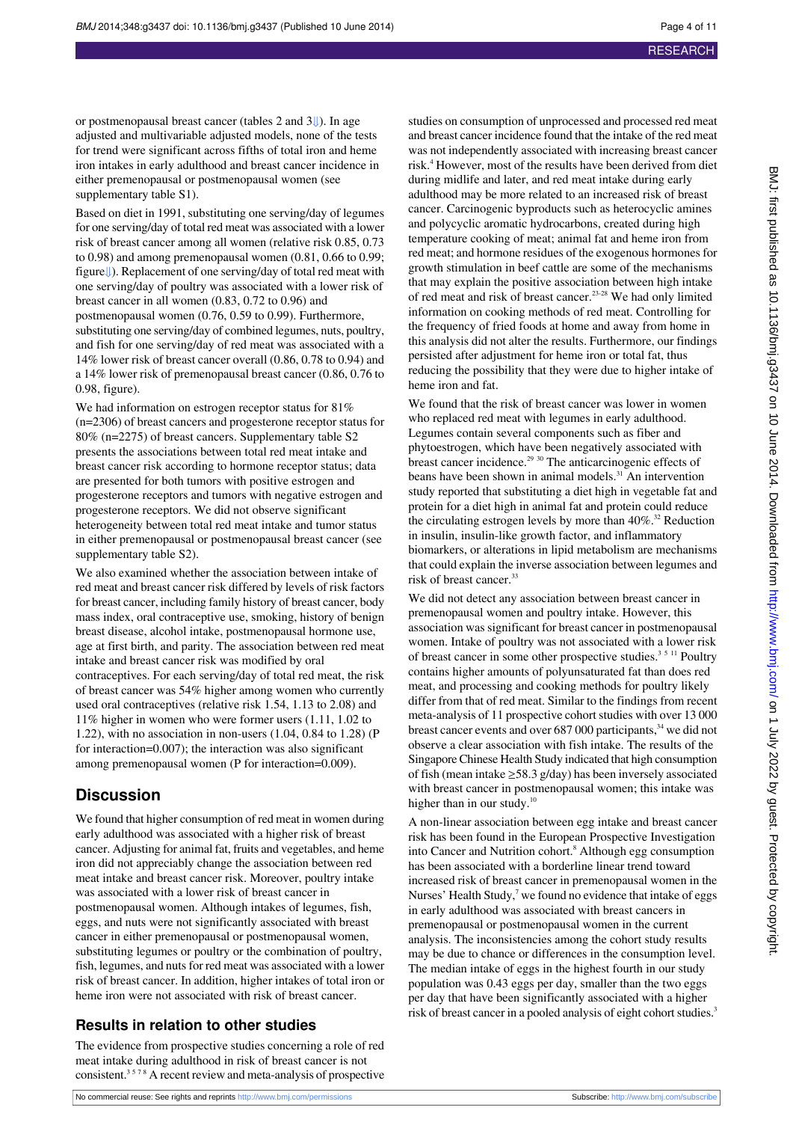or postmenopausal breast cancer (tables 2 and3[⇓\)](#page-9-0). In age adjusted and multivariable adjusted models, none of the tests for trend were significant across fifths of total iron and heme iron intakes in early adulthood and breast cancer incidence in either premenopausal or postmenopausal women (see supplementary table S1).

Based on diet in 1991, substituting one serving/day of legumes for one serving/day of total red meat was associated with a lower risk of breast cancer among all women (relative risk 0.85, 0.73 to 0.98) and among premenopausal women (0.81, 0.66 to 0.99; figure[⇓\)](#page-10-0). Replacement of one serving/day of total red meat with one serving/day of poultry was associated with a lower risk of breast cancer in all women (0.83, 0.72 to 0.96) and postmenopausal women (0.76, 0.59 to 0.99). Furthermore, substituting one serving/day of combined legumes, nuts, poultry, and fish for one serving/day of red meat was associated with a 14% lower risk of breast cancer overall (0.86, 0.78 to 0.94) and a 14% lower risk of premenopausal breast cancer (0.86, 0.76 to 0.98, figure).

We had information on estrogen receptor status for 81% (n=2306) of breast cancers and progesterone receptor status for 80% (n=2275) of breast cancers. Supplementary table S2 presents the associations between total red meat intake and breast cancer risk according to hormone receptor status; data are presented for both tumors with positive estrogen and progesterone receptors and tumors with negative estrogen and progesterone receptors. We did not observe significant heterogeneity between total red meat intake and tumor status in either premenopausal or postmenopausal breast cancer (see supplementary table S2).

We also examined whether the association between intake of red meat and breast cancer risk differed by levels of risk factors for breast cancer, including family history of breast cancer, body mass index, oral contraceptive use, smoking, history of benign breast disease, alcohol intake, postmenopausal hormone use, age at first birth, and parity. The association between red meat intake and breast cancer risk was modified by oral contraceptives. For each serving/day of total red meat, the risk of breast cancer was 54% higher among women who currently used oral contraceptives (relative risk 1.54, 1.13 to 2.08) and 11% higher in women who were former users (1.11, 1.02 to 1.22), with no association in non-users (1.04, 0.84 to 1.28) (P for interaction=0.007); the interaction was also significant among premenopausal women (P for interaction=0.009).

## **Discussion**

We found that higher consumption of red meat in women during early adulthood was associated with a higher risk of breast cancer. Adjusting for animal fat, fruits and vegetables, and heme iron did not appreciably change the association between red meat intake and breast cancer risk. Moreover, poultry intake was associated with a lower risk of breast cancer in postmenopausal women. Although intakes of legumes, fish, eggs, and nuts were not significantly associated with breast cancer in either premenopausal or postmenopausal women, substituting legumes or poultry or the combination of poultry, fish, legumes, and nuts for red meat was associated with a lower risk of breast cancer. In addition, higher intakes of total iron or heme iron were not associated with risk of breast cancer.

#### **Results in relation to other studies**

The evidence from prospective studies concerning a role of red meat intake during adulthood in risk of breast cancer is not consistent.3 5 7 8 A recent review and meta-analysis of prospective

studies on consumption of unprocessed and processed red meat and breast cancer incidence found that the intake of the red meat was not independently associated with increasing breast cancer risk.<sup>4</sup> However, most of the results have been derived from diet during midlife and later, and red meat intake during early adulthood may be more related to an increased risk of breast cancer. Carcinogenic byproducts such as heterocyclic amines and polycyclic aromatic hydrocarbons, created during high temperature cooking of meat; animal fat and heme iron from red meat; and hormone residues of the exogenous hormones for growth stimulation in beef cattle are some of the mechanisms that may explain the positive association between high intake of red meat and risk of breast cancer.23-28 We had only limited information on cooking methods of red meat. Controlling for the frequency of fried foods at home and away from home in this analysis did not alter the results. Furthermore, our findings persisted after adjustment for heme iron or total fat, thus reducing the possibility that they were due to higher intake of heme iron and fat.

We found that the risk of breast cancer was lower in women who replaced red meat with legumes in early adulthood. Legumes contain several components such as fiber and phytoestrogen, which have been negatively associated with breast cancer incidence. $29\,30$  The anticarcinogenic effects of beans have been shown in animal models.<sup>31</sup> An intervention study reported that substituting a diet high in vegetable fat and protein for a diet high in animal fat and protein could reduce the circulating estrogen levels by more than 40%.<sup>32</sup> Reduction in insulin, insulin-like growth factor, and inflammatory biomarkers, or alterations in lipid metabolism are mechanisms that could explain the inverse association between legumes and risk of breast cancer.<sup>33</sup>

We did not detect any association between breast cancer in premenopausal women and poultry intake. However, this association was significant for breast cancer in postmenopausal women. Intake of poultry was not associated with a lower risk of breast cancer in some other prospective studies.<sup>3 5 11</sup> Poultry contains higher amounts of polyunsaturated fat than does red meat, and processing and cooking methods for poultry likely differ from that of red meat. Similar to the findings from recent meta-analysis of 11 prospective cohort studies with over 13 000 breast cancer events and over  $687,000$  participants,  $34$  we did not observe a clear association with fish intake. The results of the Singapore Chinese Health Study indicated that high consumption of fish (mean intake  $\geq$ 58.3 g/day) has been inversely associated with breast cancer in postmenopausal women; this intake was higher than in our study.<sup>10</sup>

A non-linear association between egg intake and breast cancer risk has been found in the European Prospective Investigation into Cancer and Nutrition cohort.<sup>8</sup> Although egg consumption has been associated with a borderline linear trend toward increased risk of breast cancer in premenopausal women in the Nurses' Health Study,<sup>7</sup> we found no evidence that intake of eggs in early adulthood was associated with breast cancers in premenopausal or postmenopausal women in the current analysis. The inconsistencies among the cohort study results may be due to chance or differences in the consumption level. The median intake of eggs in the highest fourth in our study population was 0.43 eggs per day, smaller than the two eggs per day that have been significantly associated with a higher risk of breast cancer in a pooled analysis of eight cohort studies.<sup>3</sup>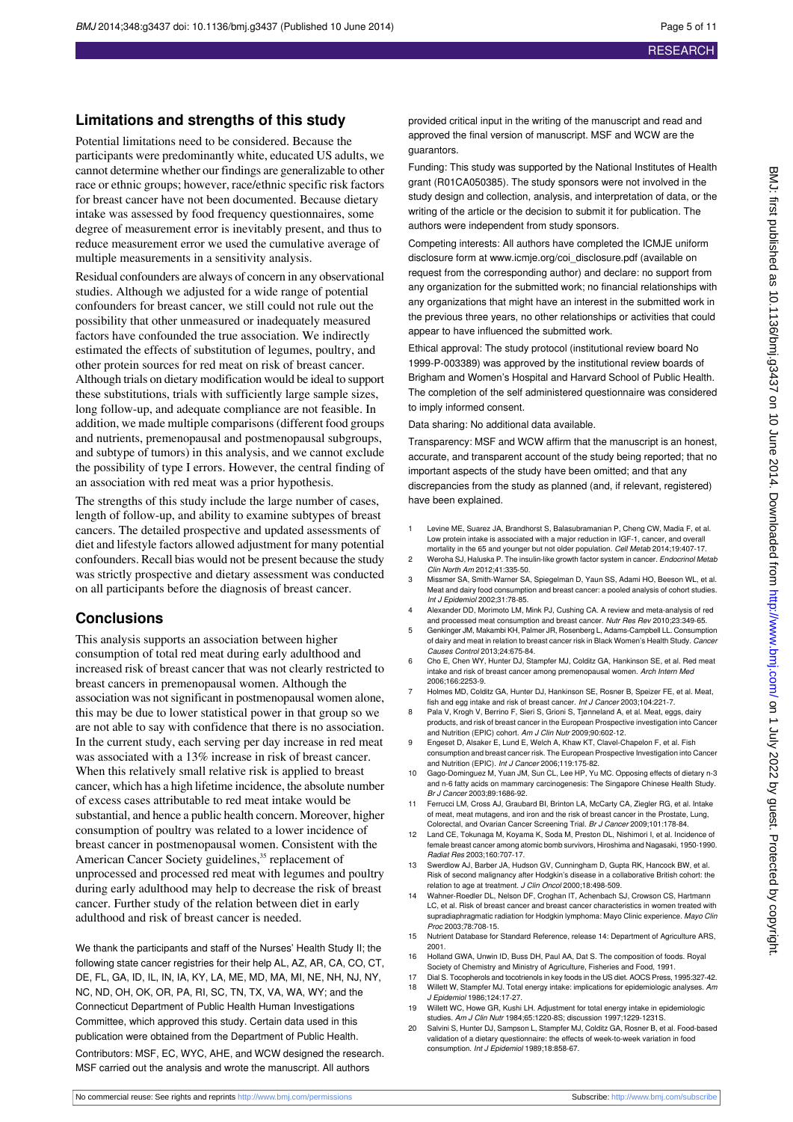#### **Limitations and strengths of this study**

Potential limitations need to be considered. Because the participants were predominantly white, educated US adults, we cannot determine whether our findings are generalizable to other race or ethnic groups; however, race/ethnic specific risk factors for breast cancer have not been documented. Because dietary intake was assessed by food frequency questionnaires, some degree of measurement error is inevitably present, and thus to reduce measurement error we used the cumulative average of multiple measurements in a sensitivity analysis.

Residual confounders are always of concern in any observational studies. Although we adjusted for a wide range of potential confounders for breast cancer, we still could not rule out the possibility that other unmeasured or inadequately measured factors have confounded the true association. We indirectly estimated the effects of substitution of legumes, poultry, and other protein sources for red meat on risk of breast cancer. Although trials on dietary modification would be ideal to support these substitutions, trials with sufficiently large sample sizes, long follow-up, and adequate compliance are not feasible. In addition, we made multiple comparisons (different food groups and nutrients, premenopausal and postmenopausal subgroups, and subtype of tumors) in this analysis, and we cannot exclude the possibility of type I errors. However, the central finding of an association with red meat was a prior hypothesis.

The strengths of this study include the large number of cases, length of follow-up, and ability to examine subtypes of breast cancers. The detailed prospective and updated assessments of diet and lifestyle factors allowed adjustment for many potential confounders. Recall bias would not be present because the study was strictly prospective and dietary assessment was conducted on all participants before the diagnosis of breast cancer.

## **Conclusions**

This analysis supports an association between higher consumption of total red meat during early adulthood and increased risk of breast cancer that was not clearly restricted to breast cancers in premenopausal women. Although the association was not significant in postmenopausal women alone, this may be due to lower statistical power in that group so we are not able to say with confidence that there is no association. In the current study, each serving per day increase in red meat was associated with a 13% increase in risk of breast cancer. When this relatively small relative risk is applied to breast cancer, which has a high lifetime incidence, the absolute number of excess cases attributable to red meat intake would be substantial, and hence a public health concern. Moreover, higher consumption of poultry was related to a lower incidence of breast cancer in postmenopausal women. Consistent with the American Cancer Society guidelines,<sup>35</sup> replacement of unprocessed and processed red meat with legumes and poultry during early adulthood may help to decrease the risk of breast cancer. Further study of the relation between diet in early adulthood and risk of breast cancer is needed.

We thank the participants and staff of the Nurses' Health Study II; the following state cancer registries for their help AL, AZ, AR, CA, CO, CT, DE, FL, GA, ID, IL, IN, IA, KY, LA, ME, MD, MA, MI, NE, NH, NJ, NY, NC, ND, OH, OK, OR, PA, RI, SC, TN, TX, VA, WA, WY; and the Connecticut Department of Public Health Human Investigations Committee, which approved this study. Certain data used in this publication were obtained from the Department of Public Health. Contributors: MSF, EC, WYC, AHE, and WCW designed the research. MSF carried out the analysis and wrote the manuscript. All authors

provided critical input in the writing of the manuscript and read and approved the final version of manuscript. MSF and WCW are the guarantors.

Funding: This study was supported by the National Institutes of Health grant (R01CA050385). The study sponsors were not involved in the study design and collection, analysis, and interpretation of data, or the writing of the article or the decision to submit it for publication. The authors were independent from study sponsors.

Competing interests: All authors have completed the ICMJE uniform disclosure form at [www.icmje.org/coi\\_disclosure.pdf](http://www.icmje.org/coi_disclosure.pdf) (available on request from the corresponding author) and declare: no support from any organization for the submitted work; no financial relationships with any organizations that might have an interest in the submitted work in the previous three years, no other relationships or activities that could appear to have influenced the submitted work.

Ethical approval: The study protocol (institutional review board No 1999-P-003389) was approved by the institutional review boards of Brigham and Women's Hospital and Harvard School of Public Health. The completion of the self administered questionnaire was considered to imply informed consent.

Data sharing: No additional data available.

Transparency: MSF and WCW affirm that the manuscript is an honest, accurate, and transparent account of the study being reported; that no important aspects of the study have been omitted; and that any discrepancies from the study as planned (and, if relevant, registered) have been explained.

- 1 Levine ME, Suarez JA, Brandhorst S, Balasubramanian P, Cheng CW, Madia F, et al. Low protein intake is associated with a major reduction in IGF-1, cancer, and overall mortality in the 65 and younger but not older population. Cell Metab 2014;19:407-17.
- 2 Weroha SJ, Haluska P. The insulin-like growth factor system in cancer. Endocrinol Metab Clin North Am 2012;41:335-50.
- 3 Missmer SA, Smith-Warner SA, Spiegelman D, Yaun SS, Adami HO, Beeson WL, et al. Meat and dairy food consumption and breast cancer: a pooled analysis of cohort studies. Int J Epidemiol 2002;31:78-85.
- 4 Alexander DD, Morimoto LM, Mink PJ, Cushing CA. A review and meta-analysis of red and processed meat consumption and breast cancer. Nutr Res Rev 2010;23:349-65.
- 5 Genkinger JM, Makambi KH, Palmer JR, Rosenberg L, Adams-Campbell LL. Consumption of dairy and meat in relation to breast cancer risk in Black Women's Health Study. Cancer Causes Control 2013;24:675-84.
- 6 Cho E, Chen WY, Hunter DJ, Stampfer MJ, Colditz GA, Hankinson SE, et al. Red meat intake and risk of breast cancer among premenopausal women. Arch Intern Med 2006;166:2253-9.
- 7 Holmes MD, Colditz GA, Hunter DJ, Hankinson SE, Rosner B, Speizer FE, et al. Meat, fish and egg intake and risk of breast cancer. Int J Cancer 2003;104:221-7.
- 8 Pala V, Krogh V, Berrino F, Sieri S, Grioni S, Tjønneland A, et al. Meat, eggs, dairy products, and risk of breast cancer in the European Prospective investigation into Cancer and Nutrition (EPIC) cohort. Am J Clin Nutr 2009;90:602-12.
- 9 Engeset D, Alsaker E, Lund E, Welch A. Khaw KT, Clavel-Chapelon F, et al. Fish consumption and breast cancer risk. The European Prospective Investigation into Cancer and Nutrition (EPIC). Int J Cancer 2006;119:175-82.
- 10 Gago-Dominguez M, Yuan JM, Sun CL, Lee HP, Yu MC. Opposing effects of dietary n-3 and n-6 fatty acids on mammary carcinogenesis: The Singapore Chinese Health Study. Br J Cancer 2003;89:1686-92.
- 11 Ferrucci LM, Cross AJ, Graubard BI, Brinton LA, McCarty CA, Ziegler RG, et al. Intake of meat, meat mutagens, and iron and the risk of breast cancer in the Prostate, Lung,
- Colorectal, and Ovarian Cancer Screening Trial. Br J Cancer 2009;101:178-84.<br>12 Land CE, Tokunaga M, Koyama K, Soda M, Preston DL, Nishimori I, et al. Incidence of female breast cancer among atomic bomb survivors, Hiroshima and Nagasaki, 1950-1990. Radiat Res 2003;160:707-17.
- 13 Swerdlow AJ, Barber JA, Hudson GV, Cunningham D, Gupta RK, Hancock BW, et al. Risk of second malignancy after Hodgkin's disease in a collaborative British cohort: the relation to age at treatment. J Clin Oncol 2000;18:498-509.
- 14 Wahner-Roedler DL, Nelson DF, Croghan IT, Achenbach SJ, Crowson CS, Hartmann LC, et al. Risk of breast cancer and breast cancer characteristics in women treated with supradiaphragmatic radiation for Hodgkin lymphoma: Mayo Clinic experience. Mayo Clin Proc 2003;78:708-15.
- 15 Nutrient Database for Standard Reference, release 14: Department of Agriculture ARS, 2001.
- 16 Holland GWA, Unwin ID, Buss DH, Paul AA, Dat S. The composition of foods. Royal Society of Chemistry and Ministry of Agriculture, Fisheries and Food, 1991.
- 17 Dial S. Tocopherols and tocotrienols in key foods in the US diet. AOCS Press, 1995:327-42.<br>18 Willett W. Stampfer M.J. Total energy intake: implications for epidemiologic analyses. Am Willett W, Stampfer MJ. Total energy intake: implications for epidemiologic analyses. Am J Epidemiol 1986;124:17-27.
- 19 Willett WC, Howe GR, Kushi LH. Adjustment for total energy intake in epidemiologic studies. Am J Clin Nutr 1984;65:1220-8S; discussion 1997;1229-1231S.
- 20 Salvini S, Hunter DJ, Sampson L, Stampfer MJ, Colditz GA, Rosner B, et al. Food-based validation of a dietary questionnaire: the effects of week-to-week variation in food consumption. Int J Epidemiol 1989;18:858-67.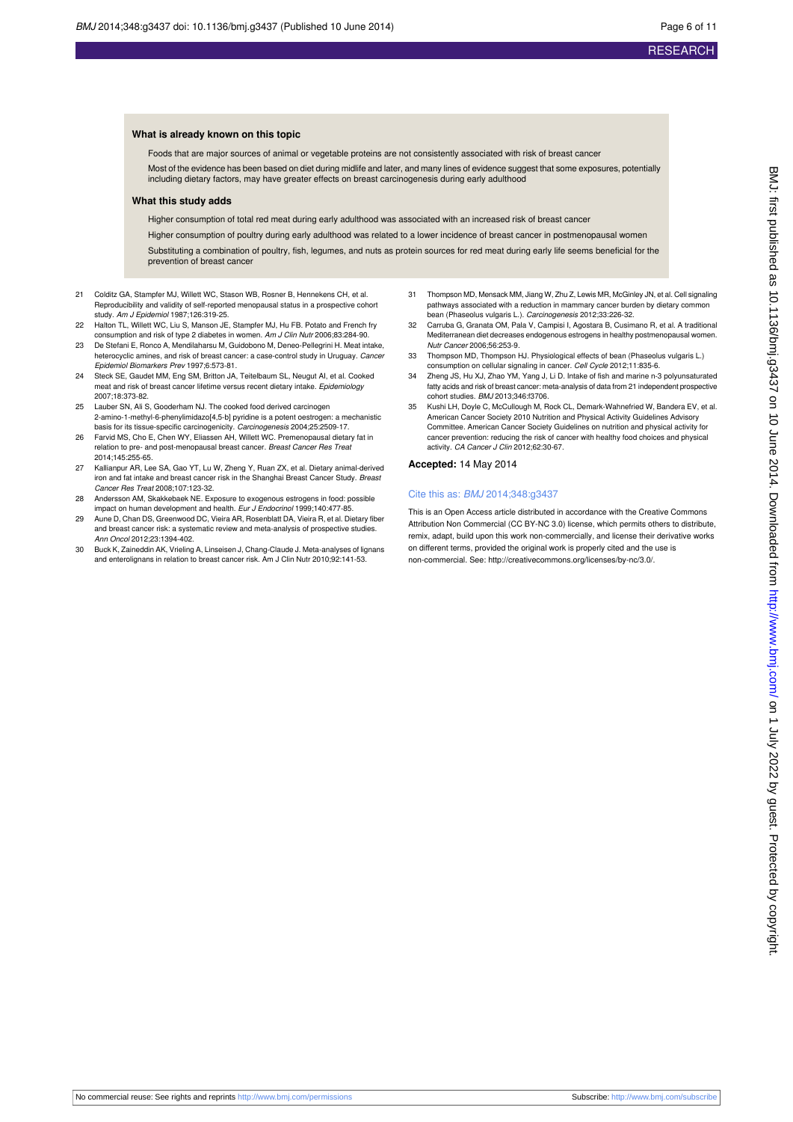#### **What is already known on this topic**

Foods that are major sources of animal or vegetable proteins are not consistently associated with risk of breast cancer Most of the evidence has been based on diet during midlife and later, and many lines of evidence suggest that some exposures, potentially including dietary factors, may have greater effects on breast carcinogenesis during early adulthood

#### **What this study adds**

Higher consumption of total red meat during early adulthood was associated with an increased risk of breast cancer

Higher consumption of poultry during early adulthood was related to a lower incidence of breast cancer in postmenopausal women

Substituting a combination of poultry, fish, legumes, and nuts as protein sources for red meat during early life seems beneficial for the prevention of breast cancer

- 21 Colditz GA, Stampfer MJ, Willett WC, Stason WB, Rosner B, Hennekens CH, et al. Reproducibility and validity of self-reported menopausal status in a prospective cohort study. Am J Epidemiol 1987;126:319-25.
- 22 Halton TL, Willett WC, Liu S, Manson JE, Stampfer MJ, Hu FB. Potato and French fry consumption and risk of type 2 diabetes in women. Am J Clin Nutr 2006;83:284-90.
- 23 De Stefani E, Ronco A, Mendilaharsu M, Guidobono M, Deneo-Pellegrini H. Meat intake, heterocyclic amines, and risk of breast cancer: a case-control study in Uruguay. Cancer Epidemiol Biomarkers Prev 1997;6:573-81.
- 24 Steck SE, Gaudet MM, Eng SM, Britton JA, Teitelbaum SL, Neugut AI, et al. Cooked meat and risk of breast cancer lifetime versus recent dietary intake. Epidemiology 2007;18:373-82.
- 25 Lauber SN, Ali S, Gooderham NJ. The cooked food derived carcinogen 2-amino-1-methyl-6-phenylimidazo[4,5-b] pyridine is a potent oestrogen: a mechanistic basis for its tissue-specific carcinogenicity. Carcinogenesis 2004;25:2509-17.
- 26 Farvid MS, Cho E, Chen WY, Eliassen AH, Willett WC. Premenopausal dietary fat in relation to pre- and post-menopausal breast cancer. Breast Cancer Res Treat 2014;145:255-65.
- 27 Kallianpur AR, Lee SA, Gao YT, Lu W, Zheng Y, Ruan ZX, et al. Dietary animal-derived iron and fat intake and breast cancer risk in the Shanghai Breast Cancer Study. Breast Cancer Res Treat 2008;107:123-32.
- 28 Andersson AM, Skakkebaek NE. Exposure to exogenous estrogens in food: possible impact on human development and health. Eur J Endocrinol 1999;140:477-85.
- 29 Aune D, Chan DS, Greenwood DC, Vieira AR, Rosenblatt DA, Vieira R, et al. Dietary fiber and breast cancer risk: a systematic review and meta-analysis of prospective studies. Ann Oncol 2012;23:1394-402.
- 30 Buck K, Zaineddin AK, Vrieling A, Linseisen J, Chang-Claude J. Meta-analyses of lignans and enterolignans in relation to breast cancer risk. Am J Clin Nutr 2010;92:141-53.
- 31 Thompson MD, Mensack MM, Jiang W, Zhu Z, Lewis MR, McGinley JN, et al. Cell signaling pathways associated with a reduction in mammary cancer burden by dietary common bean (Phaseolus vulgaris L.). Carcinogenesis 2012;33:226-32.
- 32 Carruba G, Granata OM, Pala V, Campisi I, Agostara B, Cusimano R, et al. A traditional Mediterranean diet decreases endogenous estrogens in healthy postmenopausal women. Nutr Cancer 2006;56:253-9.
- 33 Thompson MD, Thompson HJ. Physiological effects of bean (Phaseolus vulgaris L.) consumption on cellular signaling in cancer. Cell Cycle 2012;11:835-6.
- 34 Zheng JS, Hu XJ, Zhao YM, Yang J, Li D. Intake of fish and marine n-3 polyunsaturated fatty acids and risk of breast cancer: meta-analysis of data from 21 independent prospective cohort studies. BMJ 2013;346:f3706.
- 35 Kushi LH, Doyle C, McCullough M, Rock CL, Demark-Wahnefried W, Bandera EV, et al. American Cancer Society 2010 Nutrition and Physical Activity Guidelines Advisory Committee. American Cancer Society Guidelines on nutrition and physical activity for cancer prevention: reducing the risk of cancer with healthy food choices and physical activity. CA Cancer J Clin 2012;62:30-67.

**Accepted:** 14 May 2014

#### Cite this as: BMJ 2014;348:g3437

This is an Open Access article distributed in accordance with the Creative Commons Attribution Non Commercial (CC BY-NC 3.0) license, which permits others to distribute, remix, adapt, build upon this work non-commercially, and license their derivative works on different terms, provided the original work is properly cited and the use is non-commercial. See:<http://creativecommons.org/licenses/by-nc/3.0/>.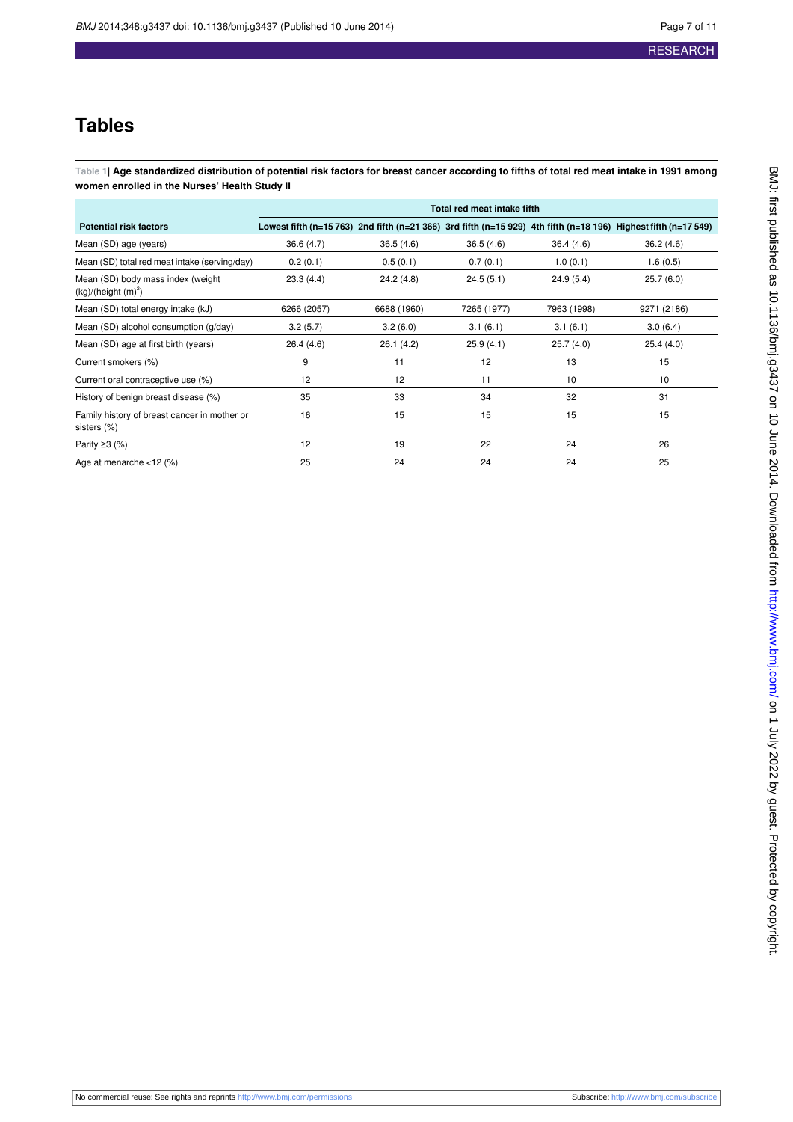## **Tables**

<span id="page-6-0"></span>**Table 1| Age standardized distribution of potential risk factors for breast cancer according to fifths of total red meat intake in 1991 among women enrolled in the Nurses' Health Study II**

|                                                             | Total red meat intake fifth |             |             |             |                                                                                                                 |  |  |
|-------------------------------------------------------------|-----------------------------|-------------|-------------|-------------|-----------------------------------------------------------------------------------------------------------------|--|--|
| <b>Potential risk factors</b>                               |                             |             |             |             | Lowest fifth (n=15 763) 2nd fifth (n=21 366) 3rd fifth (n=15 929) 4th fifth (n=18 196) Highest fifth (n=17 549) |  |  |
| Mean (SD) age (years)                                       | 36.6(4.7)                   | 36.5(4.6)   | 36.5(4.6)   | 36.4(4.6)   | 36.2(4.6)                                                                                                       |  |  |
| Mean (SD) total red meat intake (serving/day)               | 0.2(0.1)                    | 0.5(0.1)    | 0.7(0.1)    | 1.0(0.1)    | 1.6(0.5)                                                                                                        |  |  |
| Mean (SD) body mass index (weight<br>$(kg)/(height (m)^2)$  | 23.3(4.4)                   | 24.2(4.8)   | 24.5(5.1)   | 24.9(5.4)   | 25.7(6.0)                                                                                                       |  |  |
| Mean (SD) total energy intake (kJ)                          | 6266 (2057)                 | 6688 (1960) | 7265 (1977) | 7963 (1998) | 9271 (2186)                                                                                                     |  |  |
| Mean (SD) alcohol consumption (g/day)                       | 3.2(5.7)                    | 3.2(6.0)    | 3.1(6.1)    | 3.1(6.1)    | 3.0(6.4)                                                                                                        |  |  |
| Mean (SD) age at first birth (years)                        | 26.4(4.6)                   | 26.1(4.2)   | 25.9(4.1)   | 25.7(4.0)   | 25.4(4.0)                                                                                                       |  |  |
| Current smokers (%)                                         | 9                           | 11          | 12          | 13          | 15                                                                                                              |  |  |
| Current oral contraceptive use (%)                          | 12                          | 12          | 11          | 10          | 10                                                                                                              |  |  |
| History of benign breast disease (%)                        | 35                          | 33          | 34          | 32          | 31                                                                                                              |  |  |
| Family history of breast cancer in mother or<br>sisters (%) | 16                          | 15          | 15          | 15          | 15                                                                                                              |  |  |
| Parity $\geq$ 3 (%)                                         | 12                          | 19          | 22          | 24          | 26                                                                                                              |  |  |
| Age at menarche $<$ 12 (%)                                  | 25                          | 24          | 24          | 24          | 25                                                                                                              |  |  |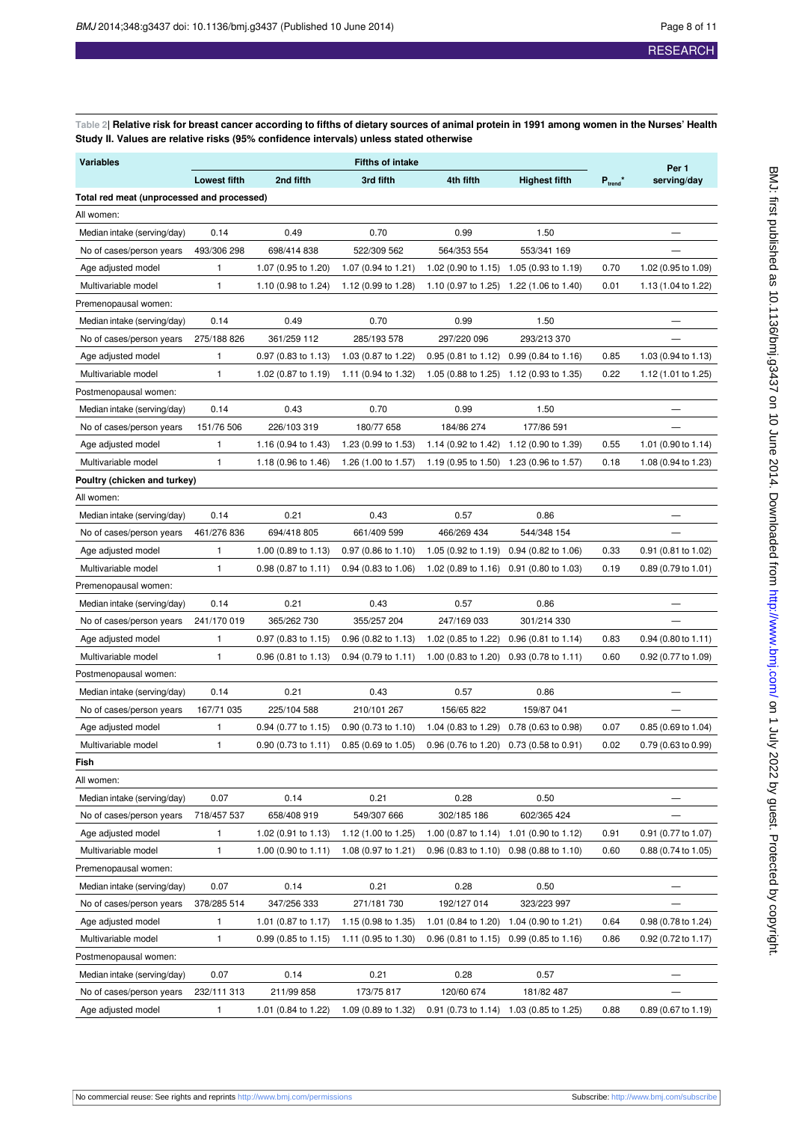<span id="page-7-0"></span>**Table 2| Relative risk for breast cancer according to fifths of dietary sources of animal protein in 1991 among women in the Nurses' Health Study II. Values are relative risks (95% confidence intervals) unless stated otherwise**

| <b>Variables</b>                           | <b>Fifths of intake</b> |                                |                        |                                         |                                             |                      | Per 1                         |  |
|--------------------------------------------|-------------------------|--------------------------------|------------------------|-----------------------------------------|---------------------------------------------|----------------------|-------------------------------|--|
|                                            | <b>Lowest fifth</b>     | 2nd fifth                      | 3rd fifth<br>4th fifth |                                         | <b>Highest fifth</b>                        | $P_{\text{trend}}^*$ | serving/day                   |  |
| Total red meat (unprocessed and processed) |                         |                                |                        |                                         |                                             |                      |                               |  |
| All women:                                 |                         |                                |                        |                                         |                                             |                      |                               |  |
| Median intake (serving/day)                | 0.14                    | 0.49                           | 0.70                   | 0.99                                    | 1.50                                        |                      |                               |  |
| No of cases/person years                   | 493/306 298             | 698/414 838                    | 522/309 562            | 564/353 554                             | 553/341 169                                 |                      |                               |  |
| Age adjusted model                         | 1                       | 1.07 (0.95 to 1.20)            | 1.07 (0.94 to 1.21)    | 1.02 (0.90 to 1.15) 1.05 (0.93 to 1.19) |                                             | 0.70                 | 1.02 (0.95 to 1.09)           |  |
| Multivariable model                        | 1                       | 1.10 (0.98 to 1.24)            | 1.12 (0.99 to 1.28)    | 1.10 (0.97 to 1.25) 1.22 (1.06 to 1.40) |                                             | 0.01                 | 1.13 (1.04 to 1.22)           |  |
| Premenopausal women:                       |                         |                                |                        |                                         |                                             |                      |                               |  |
| Median intake (serving/day)                | 0.14                    | 0.49                           | 0.70                   | 0.99                                    | 1.50                                        |                      |                               |  |
| No of cases/person years                   | 275/188 826             | 361/259 112                    | 285/193 578            | 297/220 096                             | 293/213 370                                 |                      |                               |  |
| Age adjusted model                         | 1                       | 0.97 (0.83 to 1.13)            | 1.03 (0.87 to 1.22)    | $0.95(0.81 \text{ to } 1.12)$           | $0.99(0.84 \text{ to } 1.16)$               | 0.85                 | 1.03 (0.94 to 1.13)           |  |
| Multivariable model                        | 1                       | 1.02 (0.87 to 1.19)            | 1.11 (0.94 to 1.32)    | 1.05 (0.88 to 1.25) 1.12 (0.93 to 1.35) |                                             | 0.22                 | 1.12 (1.01 to 1.25)           |  |
| Postmenopausal women:                      |                         |                                |                        |                                         |                                             |                      |                               |  |
| Median intake (serving/day)                | 0.14                    | 0.43                           | 0.70                   | 0.99                                    | 1.50                                        |                      |                               |  |
| No of cases/person years                   | 151/76 506              | 226/103 319                    | 180/77 658             | 184/86 274                              | 177/86 591                                  |                      |                               |  |
| Age adjusted model                         | 1                       | 1.16 (0.94 to 1.43)            | 1.23 (0.99 to 1.53)    | 1.14 $(0.92 \text{ to } 1.42)$          | 1.12 (0.90 to 1.39)                         | 0.55                 | 1.01 (0.90 to 1.14)           |  |
| Multivariable model                        | 1                       | 1.18 (0.96 to 1.46)            | 1.26 (1.00 to 1.57)    | 1.19 $(0.95 \text{ to } 1.50)$          | 1.23 (0.96 to 1.57)                         | 0.18                 | 1.08 (0.94 to 1.23)           |  |
| Poultry (chicken and turkey)               |                         |                                |                        |                                         |                                             |                      |                               |  |
| All women:                                 |                         |                                |                        |                                         |                                             |                      |                               |  |
| Median intake (serving/day)                | 0.14                    | 0.21                           | 0.43                   | 0.57                                    | 0.86                                        |                      |                               |  |
| No of cases/person years                   | 461/276 836             | 694/418 805                    | 661/409 599            | 466/269 434                             | 544/348 154                                 |                      |                               |  |
| Age adjusted model                         | 1                       | 1.00 (0.89 to 1.13)            | 0.97 (0.86 to 1.10)    | 1.05 $(0.92 \text{ to } 1.19)$          | 0.94 (0.82 to 1.06)                         | 0.33                 | 0.91 (0.81 to 1.02)           |  |
| Multivariable model                        | 1                       | 0.98 (0.87 to 1.11)            | $0.94$ (0.83 to 1.06)  | 1.02 $(0.89 \text{ to } 1.16)$          | $0.91$ (0.80 to 1.03)                       | 0.19                 | $0.89(0.79 \text{ to } 1.01)$ |  |
| Premenopausal women:                       |                         |                                |                        |                                         |                                             |                      |                               |  |
| Median intake (serving/day)                | 0.14                    | 0.21                           | 0.43                   | 0.57                                    | 0.86                                        |                      |                               |  |
| No of cases/person years                   | 241/170 019             | 365/262 730                    | 355/257 204            | 247/169 033                             | 301/214 330                                 |                      |                               |  |
| Age adjusted model                         | 1                       | $0.97$ (0.83 to 1.15)          | 0.96 (0.82 to 1.13)    | 1.02 (0.85 to 1.22)                     | $0.96$ (0.81 to 1.14)                       | 0.83                 | $0.94$ (0.80 to 1.11)         |  |
| Multivariable model                        | 1                       | 0.96 (0.81 to 1.13)            | $0.94$ (0.79 to 1.11)  | 1.00 (0.83 to 1.20)                     | 0.93 (0.78 to 1.11)                         | 0.60                 | 0.92 (0.77 to 1.09)           |  |
| Postmenopausal women:                      |                         |                                |                        |                                         |                                             |                      |                               |  |
| Median intake (serving/day)                | 0.14                    | 0.21                           | 0.43                   | 0.57                                    | 0.86                                        |                      |                               |  |
| No of cases/person years                   | 167/71 035              | 225/104 588                    | 210/101 267            | 156/65 822                              | 159/87 041                                  |                      |                               |  |
| Age adjusted model                         | 1                       | $0.94$ (0.77 to 1.15)          | $0.90$ (0.73 to 1.10)  | 1.04 $(0.83 \text{ to } 1.29)$          | 0.78 (0.63 to 0.98)                         | 0.07                 | 0.85 (0.69 to 1.04)           |  |
| Multivariable model                        | 1                       | $0.90(0.73 \text{ to } 1.11)$  | $0.85$ (0.69 to 1.05)  |                                         | $0.96$ (0.76 to 1.20) $0.73$ (0.58 to 0.91) | 0.02                 | 0.79 (0.63 to 0.99)           |  |
| Fish                                       |                         |                                |                        |                                         |                                             |                      |                               |  |
| All women:                                 |                         |                                |                        |                                         |                                             |                      |                               |  |
| Median intake (serving/day)                | 0.07                    | 0.14                           | 0.21                   | 0.28                                    | 0.50                                        |                      |                               |  |
| No of cases/person years                   | 718/457 537             | 658/408 919                    | 549/307 666            | 302/185 186                             | 602/365 424                                 |                      |                               |  |
| Age adjusted model                         | 1                       | 1.02 $(0.91$ to 1.13)          | 1.12 (1.00 to 1.25)    | 1.00 $(0.87 \text{ to } 1.14)$          | 1.01 (0.90 to 1.12)                         | 0.91                 | 0.91 (0.77 to 1.07)           |  |
| Multivariable model                        | 1                       | 1.00 $(0.90 \text{ to } 1.11)$ | 1.08 (0.97 to 1.21)    | $0.96$ (0.83 to 1.10)                   | $0.98(0.88 \text{ to } 1.10)$               | 0.60                 | 0.88 (0.74 to 1.05)           |  |
| Premenopausal women:                       |                         |                                |                        |                                         |                                             |                      |                               |  |
| Median intake (serving/day)                | 0.07                    | 0.14                           | 0.21                   | 0.28                                    | 0.50                                        |                      |                               |  |
| No of cases/person years                   | 378/285 514             | 347/256 333                    | 271/181 730            | 192/127 014                             | 323/223 997                                 |                      |                               |  |
| Age adjusted model                         | 1                       | 1.01 (0.87 to 1.17)            | 1.15 (0.98 to 1.35)    | 1.01 (0.84 to 1.20)                     | 1.04 (0.90 to 1.21)                         | 0.64                 | 0.98 (0.78 to 1.24)           |  |
| Multivariable model                        | 1                       | $0.99$ (0.85 to 1.15)          | 1.11 (0.95 to 1.30)    | $0.96$ (0.81 to 1.15)                   | $0.99(0.85 \text{ to } 1.16)$               | 0.86                 | $0.92$ (0.72 to 1.17)         |  |
| Postmenopausal women:                      |                         |                                |                        |                                         |                                             |                      |                               |  |
| Median intake (serving/day)                | 0.07                    | 0.14                           | 0.21                   | 0.28                                    | 0.57                                        |                      |                               |  |
| No of cases/person years                   | 232/111 313             | 211/99 858                     | 173/75 817             | 120/60 674                              | 181/82 487                                  |                      |                               |  |
| Age adjusted model                         | 1                       | 1.01 (0.84 to 1.22)            | 1.09 (0.89 to 1.32)    | 0.91 (0.73 to 1.14) 1.03 (0.85 to 1.25) |                                             | 0.88                 | 0.89 (0.67 to 1.19)           |  |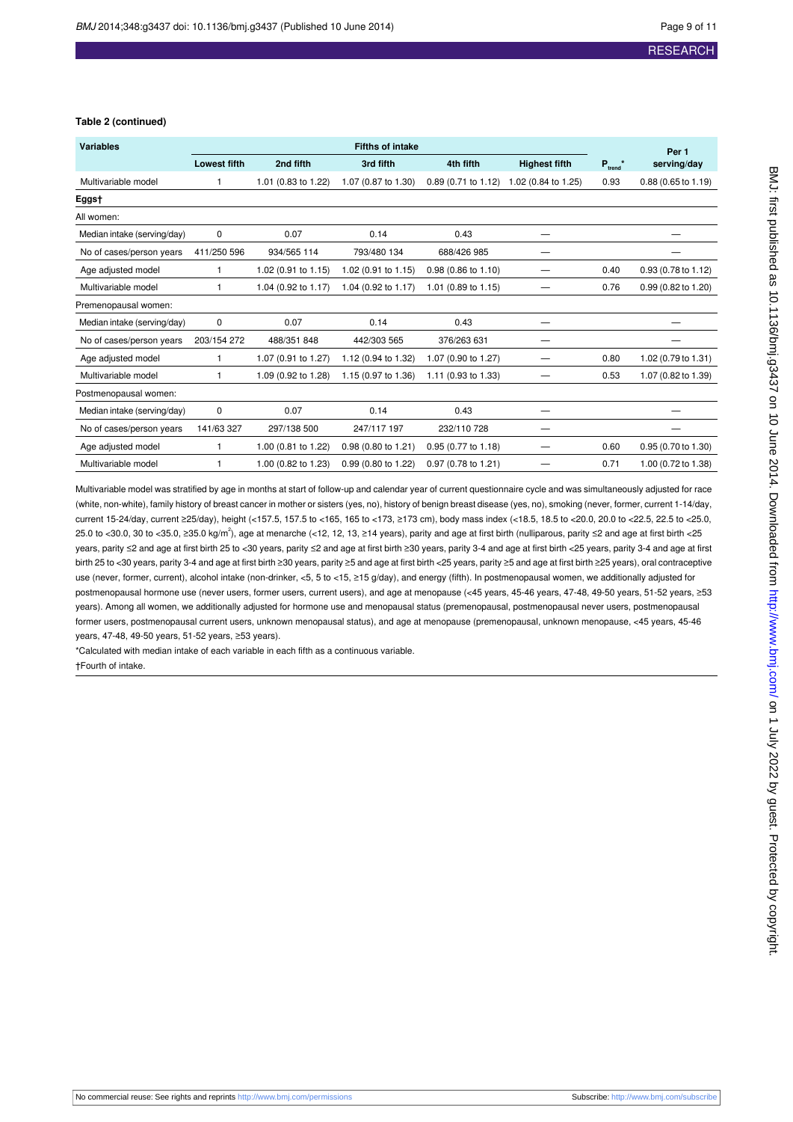#### **Table 2 (continued)**

| <b>Variables</b>            | <b>Fifths of intake</b> |                     |                     |                       |                      |                      | Per 1                         |  |
|-----------------------------|-------------------------|---------------------|---------------------|-----------------------|----------------------|----------------------|-------------------------------|--|
|                             | <b>Lowest fifth</b>     | 2nd fifth           | 3rd fifth           | 4th fifth             | <b>Highest fifth</b> | $P_{\text{trend}}^*$ | serving/day                   |  |
| Multivariable model         | 1                       | 1.01 (0.83 to 1.22) | 1.07 (0.87 to 1.30) | $0.89(0.71)$ to 1.12) | 1.02 (0.84 to 1.25)  | 0.93                 | $0.88(0.65 \text{ to } 1.19)$ |  |
| Eggs†                       |                         |                     |                     |                       |                      |                      |                               |  |
| All women:                  |                         |                     |                     |                       |                      |                      |                               |  |
| Median intake (serving/day) | $\mathbf 0$             | 0.07                | 0.14                | 0.43                  |                      |                      |                               |  |
| No of cases/person years    | 411/250 596             | 934/565 114         | 793/480 134         | 688/426 985           |                      |                      |                               |  |
| Age adjusted model          | 1                       | 1.02 (0.91 to 1.15) | 1.02 (0.91 to 1.15) | $0.98$ (0.86 to 1.10) |                      | 0.40                 | 0.93 (0.78 to 1.12)           |  |
| Multivariable model         | 1                       | 1.04 (0.92 to 1.17) | 1.04 (0.92 to 1.17) | 1.01 (0.89 to 1.15)   |                      | 0.76                 | 0.99 (0.82 to 1.20)           |  |
| Premenopausal women:        |                         |                     |                     |                       |                      |                      |                               |  |
| Median intake (serving/day) | 0                       | 0.07                | 0.14                | 0.43                  |                      |                      |                               |  |
| No of cases/person years    | 203/154 272             | 488/351 848         | 442/303 565         | 376/263 631           |                      |                      |                               |  |
| Age adjusted model          | 1                       | 1.07 (0.91 to 1.27) | 1.12 (0.94 to 1.32) | 1.07 (0.90 to 1.27)   |                      | 0.80                 | 1.02 (0.79 to 1.31)           |  |
| Multivariable model         | 1                       | 1.09 (0.92 to 1.28) | 1.15 (0.97 to 1.36) | 1.11 (0.93 to 1.33)   |                      | 0.53                 | 1.07 (0.82 to 1.39)           |  |
| Postmenopausal women:       |                         |                     |                     |                       |                      |                      |                               |  |
| Median intake (serving/day) | 0                       | 0.07                | 0.14                | 0.43                  |                      |                      |                               |  |
| No of cases/person years    | 141/63 327              | 297/138 500         | 247/117 197         | 232/110 728           |                      |                      |                               |  |
| Age adjusted model          | 1                       | 1.00 (0.81 to 1.22) | 0.98 (0.80 to 1.21) | 0.95 (0.77 to 1.18)   |                      | 0.60                 | 0.95 (0.70 to 1.30)           |  |
| Multivariable model         | 1                       | 1.00 (0.82 to 1.23) | 0.99 (0.80 to 1.22) | 0.97 (0.78 to 1.21)   |                      | 0.71                 | 1.00 (0.72 to 1.38)           |  |

Multivariable model was stratified by age in months at start of follow-up and calendar year of current questionnaire cycle and was simultaneously adjusted for race (white, non-white), family history of breast cancer in mother or sisters (yes, no), history of benign breast disease (yes, no), smoking (never, former, current 1-14/day, current 15-24/day, current ≥25/day), height (<157.5, 157.5 to <165, 165 to <173, ≥173 cm), body mass index (<18.5, 18.5 to <20.0, 20.0 to <22.5, 22.5 to <25.0, 25.0 to <30.0, 30 to <35.0, ≥35.0 kg/m<sup>2</sup>), age at menarche (<12, 12, 13, ≥14 years), parity and age at first birth (nulliparous, parity ≤2 and age at first birth <25 years, parity ≤2 and age at first birth 25 to <30 years, parity ≤2 and age at first birth ≥30 years, parity 3-4 and age at first birth <25 years, parity 3-4 and age at first birth 25 to <30 years, parity 3-4 and age at first birth ≥30 years, parity ≥5 and age at first birth <25 years, parity ≥5 and age at first birth ≥25 years), oral contraceptive use (never, former, current), alcohol intake (non-drinker, <5, 5 to <15, ≥15 g/day), and energy (fifth). In postmenopausal women, we additionally adjusted for postmenopausal hormone use (never users, former users, current users), and age at menopause (<45 years, 45-46 years, 47-48, 49-50 years, 51-52 years, ≥53 years). Among all women, we additionally adjusted for hormone use and menopausal status (premenopausal, postmenopausal never users, postmenopausal former users, postmenopausal current users, unknown menopausal status), and age at menopause (premenopausal, unknown menopause, <45 years, 45-46 years, 47-48, 49-50 years, 51-52 years, ≥53 years).

\*Calculated with median intake of each variable in each fifth as a continuous variable. †Fourth of intake.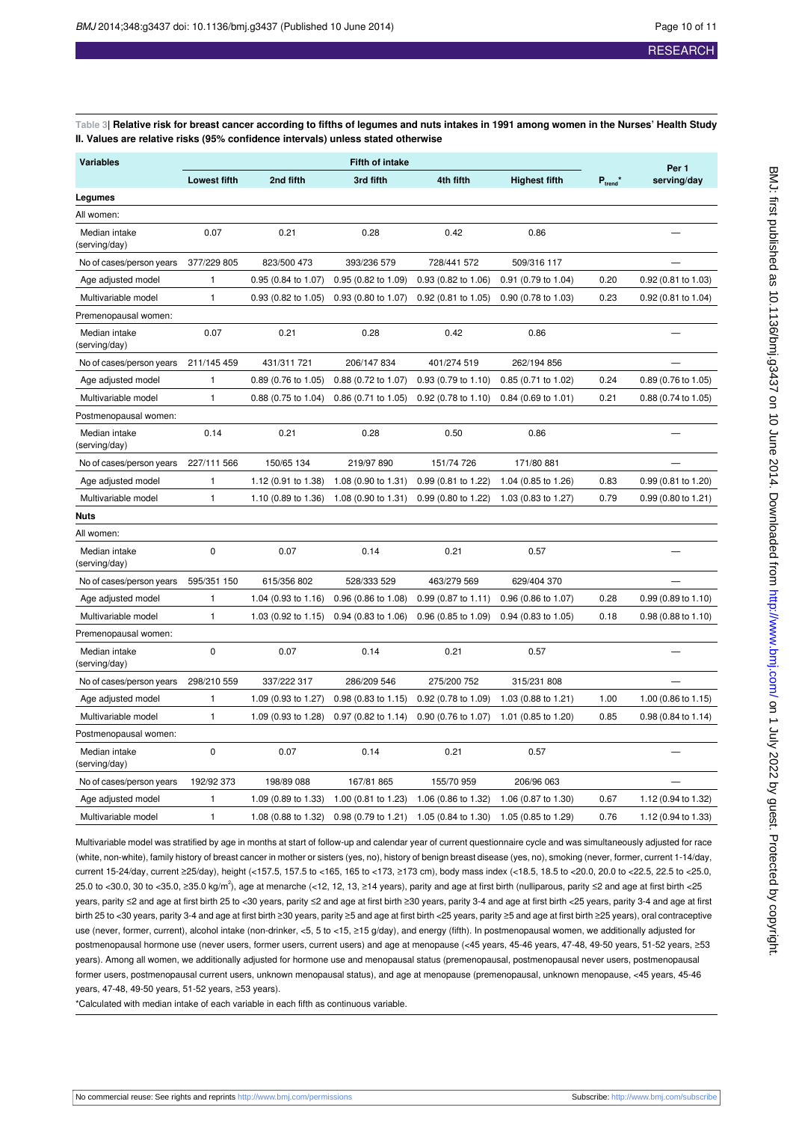<span id="page-9-0"></span>**Table 3| Relative risk for breast cancer according to fifths of legumes and nuts intakes in 1991 among women in the Nurses' Health Study II. Values are relative risks (95% confidence intervals) unless stated otherwise**

| <b>Variables</b>               | <b>Fifth of intake</b> |                     |                               |                               |                       |                    | Per 1                         |  |
|--------------------------------|------------------------|---------------------|-------------------------------|-------------------------------|-----------------------|--------------------|-------------------------------|--|
|                                | <b>Lowest fifth</b>    | 2nd fifth           | 3rd fifth                     | 4th fifth                     | <b>Highest fifth</b>  | $P_{\text{trend}}$ | serving/day                   |  |
| Legumes                        |                        |                     |                               |                               |                       |                    |                               |  |
| All women:                     |                        |                     |                               |                               |                       |                    |                               |  |
| Median intake<br>(serving/day) | 0.07                   | 0.21                | 0.28                          | 0.42                          | 0.86                  |                    |                               |  |
| No of cases/person years       | 377/229 805            | 823/500 473         | 393/236 579                   | 728/441 572                   | 509/316 117           |                    |                               |  |
| Age adjusted model             | 1                      | 0.95 (0.84 to 1.07) | 0.95 (0.82 to 1.09)           | 0.93 (0.82 to 1.06)           | 0.91 (0.79 to 1.04)   | 0.20               | 0.92 (0.81 to 1.03)           |  |
| Multivariable model            | $\mathbf{1}$           | 0.93 (0.82 to 1.05) | $0.93$ (0.80 to 1.07)         | 0.92 (0.81 to 1.05)           | 0.90 (0.78 to 1.03)   | 0.23               | 0.92 (0.81 to 1.04)           |  |
| Premenopausal women:           |                        |                     |                               |                               |                       |                    |                               |  |
| Median intake<br>(serving/day) | 0.07                   | 0.21                | 0.28                          | 0.42                          | 0.86                  |                    |                               |  |
| No of cases/person years       | 211/145 459            | 431/311 721         | 206/147834                    | 401/274 519                   | 262/194 856           |                    |                               |  |
| Age adjusted model             | $\mathbf{1}$           | 0.89 (0.76 to 1.05) | 0.88 (0.72 to 1.07)           | 0.93 (0.79 to 1.10)           | 0.85 (0.71 to 1.02)   | 0.24               | 0.89 (0.76 to 1.05)           |  |
| Multivariable model            | $\mathbf{1}$           | 0.88 (0.75 to 1.04) | $0.86$ (0.71 to 1.05)         | $0.92$ (0.78 to 1.10)         | $0.84$ (0.69 to 1.01) | 0.21               | 0.88 (0.74 to 1.05)           |  |
| Postmenopausal women:          |                        |                     |                               |                               |                       |                    |                               |  |
| Median intake<br>(serving/day) | 0.14                   | 0.21                | 0.28                          | 0.50                          | 0.86                  |                    |                               |  |
| No of cases/person years       | 227/111 566            | 150/65 134          | 219/97 890                    | 151/74 726                    | 171/80 881            |                    |                               |  |
| Age adjusted model             | 1                      | 1.12 (0.91 to 1.38) | 1.08 (0.90 to 1.31)           | 0.99 (0.81 to 1.22)           | 1.04 (0.85 to 1.26)   | 0.83               | 0.99 (0.81 to 1.20)           |  |
| Multivariable model            | $\mathbf{1}$           | 1.10 (0.89 to 1.36) | 1.08 (0.90 to 1.31)           | 0.99 (0.80 to 1.22)           | 1.03 (0.83 to 1.27)   | 0.79               | $0.99(0.80 \text{ to } 1.21)$ |  |
| <b>Nuts</b>                    |                        |                     |                               |                               |                       |                    |                               |  |
| All women:                     |                        |                     |                               |                               |                       |                    |                               |  |
| Median intake<br>(serving/day) | 0                      | 0.07                | 0.14                          | 0.21                          | 0.57                  |                    | —                             |  |
| No of cases/person years       | 595/351 150            | 615/356 802         | 528/333 529                   | 463/279 569                   | 629/404 370           |                    |                               |  |
| Age adjusted model             | $\mathbf{1}$           | 1.04 (0.93 to 1.16) | 0.96 (0.86 to 1.08)           | $0.99(0.87 \text{ to } 1.11)$ | 0.96 (0.86 to 1.07)   | 0.28               | $0.99(0.89 \text{ to } 1.10)$ |  |
| Multivariable model            | $\mathbf{1}$           | 1.03 (0.92 to 1.15) | $0.94$ (0.83 to 1.06)         | 0.96 (0.85 to 1.09)           | 0.94 (0.83 to 1.05)   | 0.18               | $0.98(0.88 \text{ to } 1.10)$ |  |
| Premenopausal women:           |                        |                     |                               |                               |                       |                    |                               |  |
| Median intake<br>(serving/day) | 0                      | 0.07                | 0.14                          | 0.21                          | 0.57                  |                    |                               |  |
| No of cases/person years       | 298/210 559            | 337/222 317         | 286/209 546                   | 275/200 752                   | 315/231 808           |                    |                               |  |
| Age adjusted model             | $\mathbf{1}$           | 1.09 (0.93 to 1.27) | 0.98 (0.83 to 1.15)           | 0.92 (0.78 to 1.09)           | 1.03 (0.88 to 1.21)   | 1.00               | 1.00 (0.86 to 1.15)           |  |
| Multivariable model            | 1                      | 1.09 (0.93 to 1.28) | $0.97$ (0.82 to 1.14)         | 0.90 (0.76 to 1.07)           | 1.01 (0.85 to 1.20)   | 0.85               | $0.98(0.84 \text{ to } 1.14)$ |  |
| Postmenopausal women:          |                        |                     |                               |                               |                       |                    |                               |  |
| Median intake<br>(serving/day) | $\pmb{0}$              | 0.07                | 0.14                          | 0.21                          | 0.57                  |                    |                               |  |
| No of cases/person years       | 192/92 373             | 198/89 088          | 167/81 865                    | 155/70 959                    | 206/96 063            |                    |                               |  |
| Age adjusted model             | 1                      | 1.09 (0.89 to 1.33) | 1.00 (0.81 to 1.23)           | 1.06 (0.86 to 1.32)           | 1.06 (0.87 to 1.30)   | 0.67               | 1.12 (0.94 to 1.32)           |  |
| Multivariable model            | $\mathbf{1}$           | 1.08 (0.88 to 1.32) | $0.98(0.79 \text{ to } 1.21)$ | 1.05 (0.84 to 1.30)           | 1.05 (0.85 to 1.29)   | 0.76               | 1.12 (0.94 to 1.33)           |  |

Multivariable model was stratified by age in months at start of follow-up and calendar year of current questionnaire cycle and was simultaneously adjusted for race (white, non-white), family history of breast cancer in mother or sisters (yes, no), history of benign breast disease (yes, no), smoking (never, former, current 1-14/day, current 15-24/day, current ≥25/day), height (<157.5, 157.5 to <165, 165 to <173, ≥173 cm), body mass index (<18.5, 18.5 to <20.0, 20.0 to <22.5, 22.5 to <25.0, 25.0 to <30.0, 30 to <35.0, ≥35.0 kg/m<sup>2</sup>), age at menarche (<12, 12, 13, ≥14 years), parity and age at first birth (nulliparous, parity ≤2 and age at first birth <25 years, parity ≤2 and age at first birth 25 to <30 years, parity ≤2 and age at first birth ≥30 years, parity 3-4 and age at first birth <25 years, parity 3-4 and age at first birth 25 to <30 years, parity 3-4 and age at first birth ≥30 years, parity ≥5 and age at first birth <25 years, parity ≥5 and age at first birth ≥25 years), oral contraceptive use (never, former, current), alcohol intake (non-drinker, <5, 5 to <15, ≥15 g/day), and energy (fifth). In postmenopausal women, we additionally adjusted for postmenopausal hormone use (never users, former users, current users) and age at menopause (<45 years, 45-46 years, 47-48, 49-50 years, 51-52 years, ≥53 years). Among all women, we additionally adjusted for hormone use and menopausal status (premenopausal, postmenopausal never users, postmenopausal former users, postmenopausal current users, unknown menopausal status), and age at menopause (premenopausal, unknown menopause, <45 years, 45-46 years, 47-48, 49-50 years, 51-52 years, ≥53 years).

\*Calculated with median intake of each variable in each fifth as continuous variable.